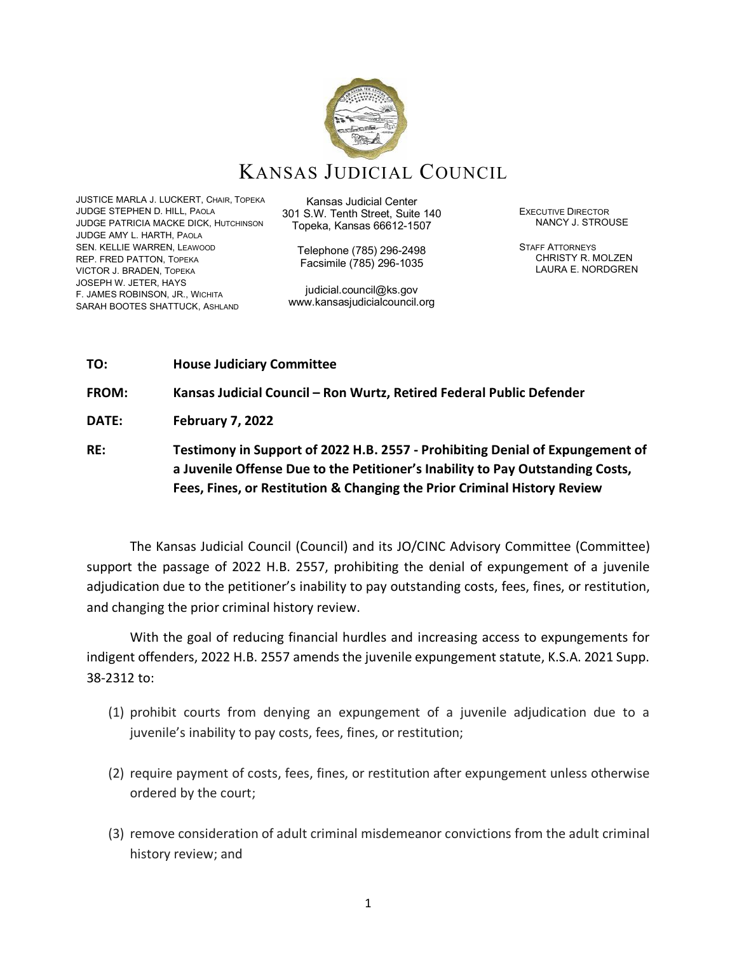

JUSTICE MARLA J. LUCKERT, CHAIR, TOPEKA JUDGE STEPHEN D. HILL, PAOLA JUDGE PATRICIA MACKE DICK, HUTCHINSON JUDGE AMY L. HARTH, PAOLA SEN. KELLIE WARREN, LEAWOOD REP. FRED PATTON, TOPEKA VICTOR J. BRADEN, TOPEKA JOSEPH W. JETER, HAYS F. JAMES ROBINSON, JR., WICHITA SARAH BOOTES SHATTUCK, ASHLAND

Kansas Judicial Center 301 S.W. Tenth Street, Suite 140 Topeka, Kansas 66612-1507

Telephone (785) 296-2498 Facsimile (785) 296-1035

judicial.council@ks.gov www.kansasjudicialcouncil.org EXECUTIVE DIRECTOR NANCY J. STROUSE

STAFF ATTORNEYS CHRISTY R. MOLZEN LAURA E. NORDGREN

### **TO: House Judiciary Committee**

**FROM: Kansas Judicial Council – Ron Wurtz, Retired Federal Public Defender**

**DATE: February 7, 2022**

**RE: Testimony in Support of 2022 H.B. 2557 - Prohibiting Denial of Expungement of a Juvenile Offense Due to the Petitioner's Inability to Pay Outstanding Costs, Fees, Fines, or Restitution & Changing the Prior Criminal History Review**

The Kansas Judicial Council (Council) and its JO/CINC Advisory Committee (Committee) support the passage of 2022 H.B. 2557, prohibiting the denial of expungement of a juvenile adjudication due to the petitioner's inability to pay outstanding costs, fees, fines, or restitution, and changing the prior criminal history review.

With the goal of reducing financial hurdles and increasing access to expungements for indigent offenders, 2022 H.B. 2557 amends the juvenile expungement statute, K.S.A. 2021 Supp. 38-2312 to:

- (1) prohibit courts from denying an expungement of a juvenile adjudication due to a juvenile's inability to pay costs, fees, fines, or restitution;
- (2) require payment of costs, fees, fines, or restitution after expungement unless otherwise ordered by the court;
- (3) remove consideration of adult criminal misdemeanor convictions from the adult criminal history review; and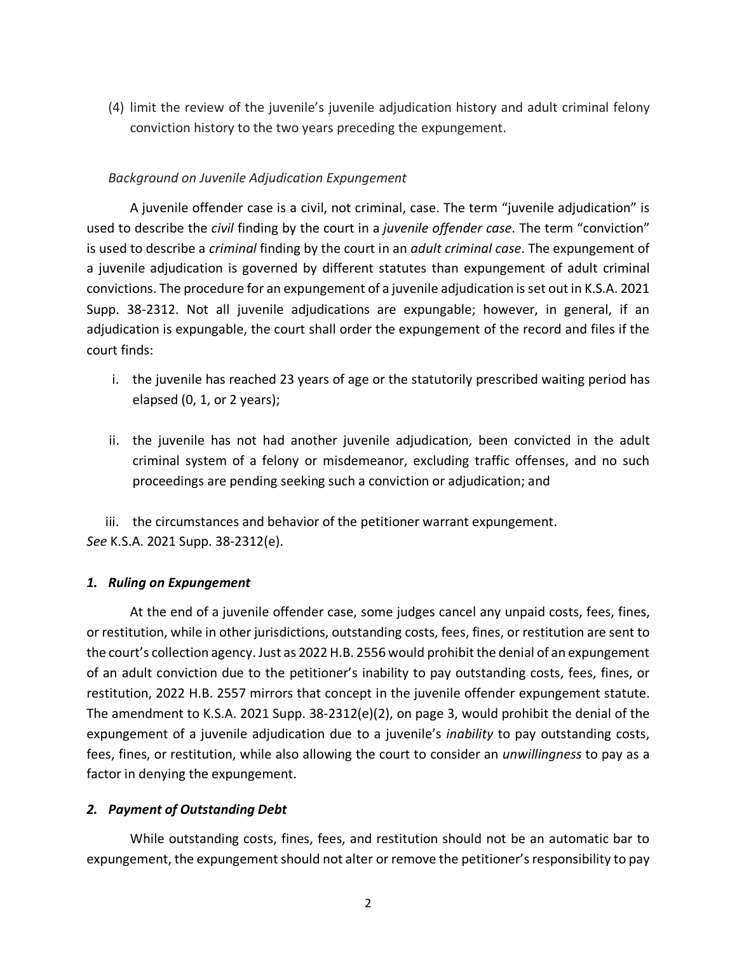(4) limit the review of the juvenile's juvenile adjudication history and adult criminal felony conviction history to the two years preceding the expungement.

# *Background on Juvenile Adjudication Expungement*

A juvenile offender case is a civil, not criminal, case. The term "juvenile adjudication" is used to describe the *civil* finding by the court in a *juvenile offender case*. The term "conviction" is used to describe a *criminal* finding by the court in an *adult criminal case*. The expungement of a juvenile adjudication is governed by different statutes than expungement of adult criminal convictions. The procedure for an expungement of a juvenile adjudication is set out in K.S.A. 2021 Supp. 38-2312. Not all juvenile adjudications are expungable; however, in general, if an adjudication is expungable, the court shall order the expungement of the record and files if the court finds:

- i. the juvenile has reached 23 years of age or the statutorily prescribed waiting period has elapsed (0, 1, or 2 years);
- ii. the juvenile has not had another juvenile adjudication, been convicted in the adult criminal system of a felony or misdemeanor, excluding traffic offenses, and no such proceedings are pending seeking such a conviction or adjudication; and

iii. the circumstances and behavior of the petitioner warrant expungement. *See* K.S.A. 2021 Supp. 38-2312(e).

## *1. Ruling on Expungement*

At the end of a juvenile offender case, some judges cancel any unpaid costs, fees, fines, or restitution, while in other jurisdictions, outstanding costs, fees, fines, or restitution are sent to the court's collection agency. Just as 2022 H.B. 2556 would prohibit the denial of an expungement of an adult conviction due to the petitioner's inability to pay outstanding costs, fees, fines, or restitution, 2022 H.B. 2557 mirrors that concept in the juvenile offender expungement statute. The amendment to K.S.A. 2021 Supp. 38-2312(e)(2), on page 3, would prohibit the denial of the expungement of a juvenile adjudication due to a juvenile's *inability* to pay outstanding costs, fees, fines, or restitution, while also allowing the court to consider an *unwillingness* to pay as a factor in denying the expungement.

# *2. Payment of Outstanding Debt*

While outstanding costs, fines, fees, and restitution should not be an automatic bar to expungement, the expungement should not alter or remove the petitioner's responsibility to pay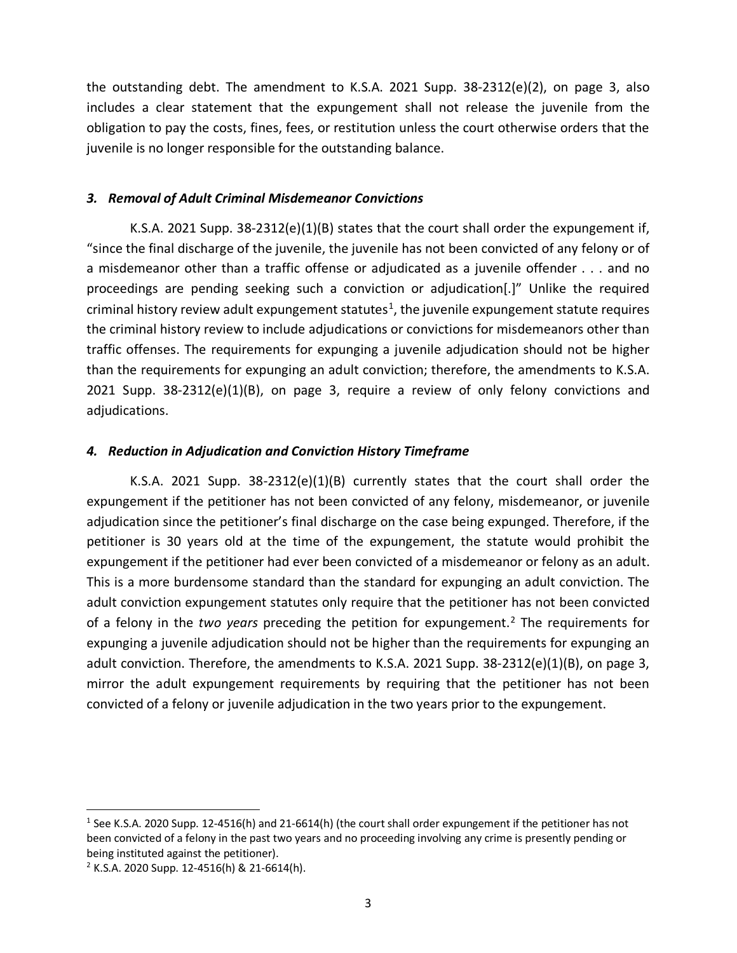the outstanding debt. The amendment to K.S.A. 2021 Supp. 38-2312(e)(2), on page 3, also includes a clear statement that the expungement shall not release the juvenile from the obligation to pay the costs, fines, fees, or restitution unless the court otherwise orders that the juvenile is no longer responsible for the outstanding balance.

### *3. Removal of Adult Criminal Misdemeanor Convictions*

K.S.A. 2021 Supp. 38-2312(e)(1)(B) states that the court shall order the expungement if, "since the final discharge of the juvenile, the juvenile has not been convicted of any felony or of a misdemeanor other than a traffic offense or adjudicated as a juvenile offender . . . and no proceedings are pending seeking such a conviction or adjudication[.]" Unlike the required criminal history review adult expungement statutes<sup>[1](#page-2-0)</sup>, the juvenile expungement statute requires the criminal history review to include adjudications or convictions for misdemeanors other than traffic offenses. The requirements for expunging a juvenile adjudication should not be higher than the requirements for expunging an adult conviction; therefore, the amendments to K.S.A. 2021 Supp. 38-2312(e)(1)(B), on page 3, require a review of only felony convictions and adjudications.

## *4. Reduction in Adjudication and Conviction History Timeframe*

K.S.A. 2021 Supp.  $38-2312(e)(1)(B)$  currently states that the court shall order the expungement if the petitioner has not been convicted of any felony, misdemeanor, or juvenile adjudication since the petitioner's final discharge on the case being expunged. Therefore, if the petitioner is 30 years old at the time of the expungement, the statute would prohibit the expungement if the petitioner had ever been convicted of a misdemeanor or felony as an adult. This is a more burdensome standard than the standard for expunging an adult conviction. The adult conviction expungement statutes only require that the petitioner has not been convicted of a felony in the *two years* preceding the petition for expungement.[2](#page-2-1) The requirements for expunging a juvenile adjudication should not be higher than the requirements for expunging an adult conviction. Therefore, the amendments to K.S.A. 2021 Supp. 38-2312(e)(1)(B), on page 3, mirror the adult expungement requirements by requiring that the petitioner has not been convicted of a felony or juvenile adjudication in the two years prior to the expungement.

<span id="page-2-0"></span><sup>1</sup> See K.S.A. 2020 Supp. 12-4516(h) and 21-6614(h) (the court shall order expungement if the petitioner has not been convicted of a felony in the past two years and no proceeding involving any crime is presently pending or being instituted against the petitioner).

<span id="page-2-1"></span><sup>2</sup> K.S.A. 2020 Supp. 12-4516(h) & 21-6614(h).